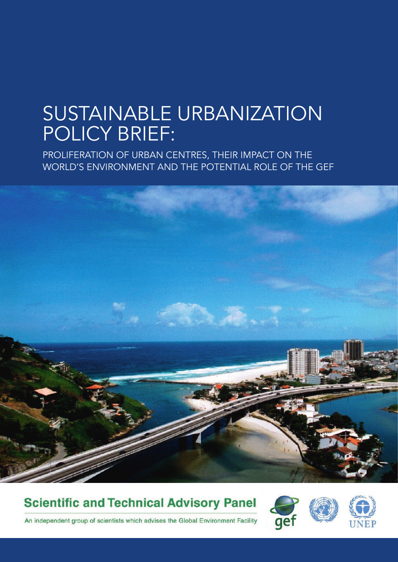## SUSTAINABLE URBANIZATION POLICY BRIEF:

PROLIFERATION OF URBAN CENTRES, ThEIR ImPACT ON ThE wORLd'S ENvIRONmENT ANd ThE POTENTIAL ROLE OF ThE GEF



**Scientific and Technical Advisory Panel** 





An independent group of scientists which advises the Global Environment Facility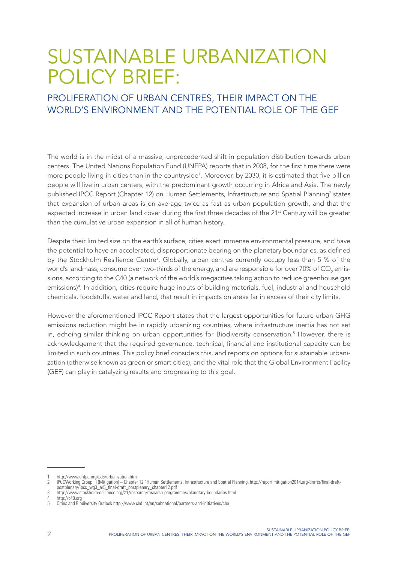## SUSTAINABLE URBANIZATION POLICY BRIEF:

#### PROLIFERATION OF URBAN CENTRES, ThEIR ImPACT ON ThE WORLD'S ENVIRONMENT AND THE POTENTIAL ROLE OF THE GEF

The world is in the midst of a massive, unprecedented shift in population distribution towards urban centers. The United Nations Population Fund (UNFPA) reports that in 2008, for the first time there were more people living in cities than in the countryside<sup>1</sup>. Moreover, by 2030, it is estimated that five billion people will live in urban centers, with the predominant growth occurring in Africa and Asia. The newly published IPCC Report (Chapter 12) on Human Settlements, Infrastructure and Spatial Planning<sup>2</sup> states that expansion of urban areas is on average twice as fast as urban population growth, and that the expected increase in urban land cover during the first three decades of the 21<sup>st</sup> Century will be greater than the cumulative urban expansion in all of human history.

Despite their limited size on the earth's surface, cities exert immense environmental pressure, and have the potential to have an accelerated, disproportionate bearing on the planetary boundaries, as defined by the Stockholm Resilience Centre<sup>3</sup>. Globally, urban centres currently occupy less than 5 % of the world's landmass, consume over two-thirds of the energy, and are responsible for over 70% of CO<sub>2</sub> emissions, according to the C40 (a network of the world's megacities taking action to reduce greenhouse gas emissions)4 . In addition, cities require huge inputs of building materials, fuel, industrial and household chemicals, foodstuffs, water and land, that result in impacts on areas far in excess of their city limits.

However the aforementioned IPCC Report states that the largest opportunities for future urban GHG emissions reduction might be in rapidly urbanizing countries, where infrastructure inertia has not set in, echoing similar thinking on urban opportunities for Biodiversity conservation.<sup>5</sup> However, there is acknowledgement that the required governance, technical, financial and institutional capacity can be limited in such countries. This policy brief considers this, and reports on options for sustainable urbanization (otherwise known as green or smart cities), and the vital role that the Global Environment Facility (GEF) can play in catalyzing results and progressing to this goal.

4 http://c40.org<br>5 Cities and Rio

<sup>1</sup> http://www.unfpa.org/pds/urbanization.htm

<sup>2</sup> IPCCWorking Group III (Mitigation) – Chapter 12 "Human Settlements, Infrastructure and Spatial Planning. http://report.mitigation2014.org/drafts/final-draftpostplenary/ipcc\_wg3\_ar5\_final-draft\_postplenary\_chapter12.pdf

<sup>3</sup> http://www.stockholmresilience.org/21/research/research-programmes/planetary-boundaries.html

<sup>5</sup> Cities and Biodiversity Outlook http://www.cbd.int/en/subnational/partners-and-initiatives/cbo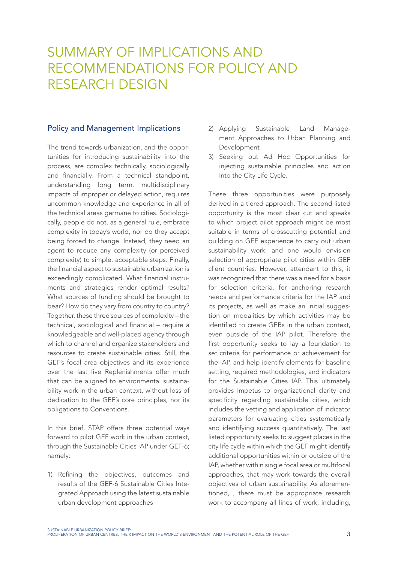### SUMMARY OF IMPLICATIONS AND RECOmmENdATIONS FOR POLICY ANd RESEARCH DESIGN

#### Policy and Management Implications

The trend towards urbanization, and the opportunities for introducing sustainability into the process, are complex technically, sociologically and financially. From a technical standpoint, understanding long term, multidisciplinary impacts of improper or delayed action, requires uncommon knowledge and experience in all of the technical areas germane to cities. Sociologically, people do not, as a general rule, embrace complexity in today's world, nor do they accept being forced to change. Instead, they need an agent to reduce any complexity (or perceived complexity) to simple, acceptable steps. Finally, the financial aspect to sustainable urbanization is exceedingly complicated. What financial instruments and strategies render optimal results? What sources of funding should be brought to bear? How do they vary from country to country? Together, these three sources of complexity – the technical, sociological and financial – require a knowledgeable and well-placed agency through which to channel and organize stakeholders and resources to create sustainable cities. Still, the GEF's focal area objectives and its experience over the last five Replenishments offer much that can be aligned to environmental sustainability work in the urban context, without loss of dedication to the GEF's core principles, nor its obligations to Conventions.

In this brief, STAP offers three potential ways forward to pilot GEF work in the urban context, through the Sustainable Cities IAP under GEF-6; namely:

1) Refining the objectives, outcomes and results of the GEF-6 Sustainable Cities Integrated Approach using the latest sustainable urban development approaches

- 2) Applying Sustainable Land Management Approaches to Urban Planning and Development
- 3) Seeking out Ad Hoc Opportunities for injecting sustainable principles and action into the City Life Cycle.

These three opportunities were purposely derived in a tiered approach. The second listed opportunity is the most clear cut and speaks to which project pilot approach might be most suitable in terms of crosscutting potential and building on GEF experience to carry out urban sustainability work; and one would envision selection of appropriate pilot cities within GEF client countries. However, attendant to this, it was recognized that there was a need for a basis for selection criteria, for anchoring research needs and performance criteria for the IAP and its projects, as well as make an initial suggestion on modalities by which activities may be identified to create GEBs in the urban context, even outside of the IAP pilot. Therefore the first opportunity seeks to lay a foundation to set criteria for performance or achievement for the IAP, and help identify elements for baseline setting, required methodologies, and indicators for the Sustainable Cities IAP. This ultimately provides impetus to organizational clarity and specificity regarding sustainable cities, which includes the vetting and application of indicator parameters for evaluating cities systematically and identifying success quantitatively. The last listed opportunity seeks to suggest places in the city life cycle within which the GEF might identify additional opportunities within or outside of the IAP, whether within single focal area or multifocal approaches, that may work towards the overall objectives of urban sustainability. As aforementioned, , there must be appropriate research work to accompany all lines of work, including,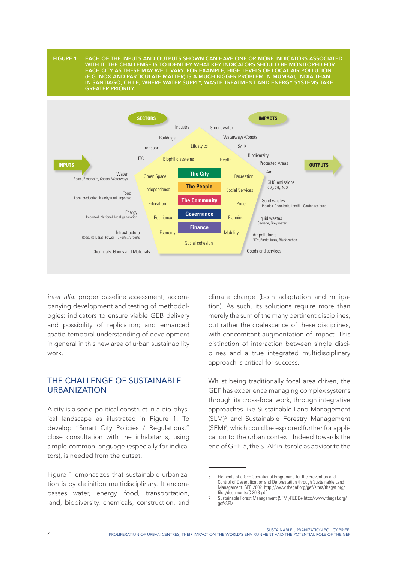Figure 1: each oF the inputs and outputs shown can have one or more indicators associated with it. the challenge is to identiFy what key indicators should be monitored For each city as these may well vary. For example, high levels oF local air pollution (e.g. nox and particulate matter) is a much bigger problem in mumbai, india than in santiago, chile, where water supply, waste treatment and energy systems take **GREATER PRIORITY.** 



*inter alia:* proper baseline assessment; accompanying development and testing of methodologies: indicators to ensure viable GEB delivery and possibility of replication; and enhanced spatio-temporal understanding of development in general in this new area of urban sustainability work.

#### THE CHALLENGE OF SUSTAINABLE **URBANIZATION**

A city is a socio-political construct in a bio-physical landscape as illustrated in Figure 1. To develop "Smart City Policies / Regulations," close consultation with the inhabitants, using simple common language (especially for indicators), is needed from the outset.

Figure 1 emphasizes that sustainable urbanization is by definition multidisciplinary. It encompasses water, energy, food, transportation, land, biodiversity, chemicals, construction, and

climate change (both adaptation and mitigation). As such, its solutions require more than merely the sum of the many pertinent disciplines, but rather the coalescence of these disciplines, with concomitant augmentation of impact. This distinction of interaction between single disciplines and a true integrated multidisciplinary approach is critical for success.

Whilst being traditionally focal area driven, the GEF has experience managing complex systems through its cross-focal work, through integrative approaches like Sustainable Land Management (SLM)6 and Sustainable Forestry Management (SFM)7 , which could be explored further for application to the urban context. Indeed towards the end of GEF-5, the STAP in its role as advisor to the

<sup>6</sup> Elements of a GEF Operational Programme for the Prevention and Control of Desertification and Deforestation through Sustainable Land Management. GEF. 2002. http://www.thegef.org/gef/sites/thegef.org/ files/documents/C.20.8.pdf

<sup>7</sup> Sustainable Forest Management (SFM)/REDD+ http://www.thegef.org/ gef/SFM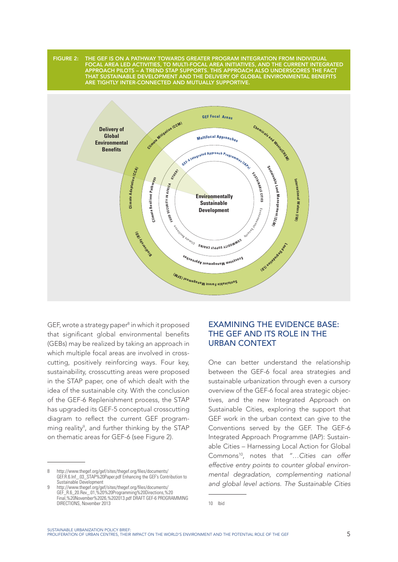

GEF, wrote a strategy paper<sup>8</sup> in which it proposed that significant global environmental benefits (GEBs) may be realized by taking an approach in which multiple focal areas are involved in crosscutting, positively reinforcing ways. Four key, sustainability, crosscutting areas were proposed in the STAP paper, one of which dealt with the idea of the sustainable city. With the conclusion of the GEF-6 Replenishment process, the STAP has upgraded its GEF-5 conceptual crosscutting diagram to reflect the current GEF programming reality<sup>9</sup>, and further thinking by the STAP on thematic areas for GEF-6 (see Figure 2).

#### exaMInIng The evIdenCe baSe: THE GEF AND ITS ROLE IN THE urban ConTexT

One can better understand the relationship between the GEF-6 focal area strategies and sustainable urbanization through even a cursory overview of the GEF-6 focal area strategic objectives, and the new Integrated Approach on Sustainable Cities, exploring the support that GEF work in the urban context can give to the Conventions served by the GEF. The GEF-6 Integrated Approach Programme (IAP): Sustainable Cities – Harnessing Local Action for Global Commons10, notes that *"…Cities can offer effective entry points to counter global environmental degradation, complementing national and global level actions. The Sustainable Cities* 

<sup>8</sup> http://www.thegef.org/gef/sites/thegef.org/files/documents/ GEF.R.6.Inf\_.03\_STAP%20Paper.pdf Enhancing the GEF's Contribution to Sustainable Development

<sup>9</sup> http://www.thegef.org/gef/sites/thegef.org/files/documents/ GEF\_R.6\_20.Rev\_.01,%20%20Programming%20Directions,%20 Final,%20November%2026,%202013.pdf DRAFT GEF-6 PROGRAMMING DIRECTIONS, November 2013

<sup>10</sup> Ibid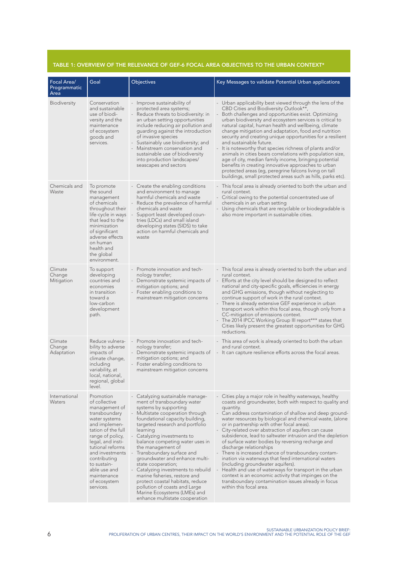#### table 1: overview oF the relevance oF geF-6 Focal area objectives to the urban context\*

| Focal Area/<br>Programmatic<br>Area | Goal                                                                                                                                                                                                                                                                                            | Objectives                                                                                                                                                                                                                                                                                                                                                                                                                                                                                                                                                                                                  | Key Messages to validate Potential Urban applications                                                                                                                                                                                                                                                                                                                                                                                                                                                                                                                                                                                                                                                                                                                                                                                                                   |
|-------------------------------------|-------------------------------------------------------------------------------------------------------------------------------------------------------------------------------------------------------------------------------------------------------------------------------------------------|-------------------------------------------------------------------------------------------------------------------------------------------------------------------------------------------------------------------------------------------------------------------------------------------------------------------------------------------------------------------------------------------------------------------------------------------------------------------------------------------------------------------------------------------------------------------------------------------------------------|-------------------------------------------------------------------------------------------------------------------------------------------------------------------------------------------------------------------------------------------------------------------------------------------------------------------------------------------------------------------------------------------------------------------------------------------------------------------------------------------------------------------------------------------------------------------------------------------------------------------------------------------------------------------------------------------------------------------------------------------------------------------------------------------------------------------------------------------------------------------------|
| Biodiversity                        | Conservation<br>and sustainable<br>use of biodi-<br>versity and the<br>maintenance<br>of ecosystem<br>goods and<br>services.                                                                                                                                                                    | - Improve sustainability of<br>protected area systems;<br>- Reduce threats to biodiversity: in<br>an urban setting opportunities<br>include reducing air pollution and<br>guarding against the introduction<br>of invasive species<br>- Sustainably use biodiversity; and<br>- Mainstream conservation and<br>sustainable use of biodiversity<br>into production landscapes/<br>seascapes and sectors                                                                                                                                                                                                       | - Urban applicability best viewed through the lens of the<br>CBD Cities and Biodiversity Outlook**,<br>Both challenges and opportunities exist. Optimizing<br>urban biodiversity and ecosystem services is critical to<br>natural capital, human health and wellbeing, climate<br>change mitigation and adaptation, food and nutrition<br>security and creating unique opportunities for a resilient<br>and sustainable future.<br>- It is noteworthy that species richness of plants and/or<br>animals in cities bears correlations with population size,<br>age of city, median family income, bringing potential<br>benefits in creating innovative approaches to urban<br>protected areas (eg, peregrine falcons living on tall<br>buildings, small protected areas such as hills, parks etc).                                                                      |
| Chemicals and<br>Waste              | To promote<br>the sound<br>management<br>of chemicals<br>throughout their<br>life-cycle in ways<br>that lead to the<br>minimization<br>of significant<br>adverse effects<br>on human<br>health and<br>the global<br>environment.                                                                | - Create the enabling conditions<br>and environment to manage<br>harmful chemicals and waste<br>- Reduce the prevalence of harmful<br>chemicals and waste<br>Support least developed coun-<br>tries (LDCs) and small island<br>developing states (SIDS) to take<br>action on harmful chemicals and<br>waste                                                                                                                                                                                                                                                                                                 | - This focal area is already oriented to both the urban and<br>rural context.<br>- Critical owing to the potential concentrated use of<br>chemicals in an urban setting<br>- Using chemicals that are recyclable or biodegradable is<br>also more important in sustainable cities.                                                                                                                                                                                                                                                                                                                                                                                                                                                                                                                                                                                      |
| Climate<br>Change<br>Mitigation     | To support<br>developing<br>countries and<br>economies<br>in transition<br>toward a<br>low-carbon<br>development<br>path.                                                                                                                                                                       | - Promote innovation and tech-<br>nology transfer;<br>- Demonstrate systemic impacts of<br>mitigation options; and<br>- Foster enabling conditions to<br>mainstream mitigation concerns                                                                                                                                                                                                                                                                                                                                                                                                                     | - This focal area is already oriented to both the urban and<br>rural context.<br>- Efforts at the city level should be designed to reflect<br>national and city-specific goals, efficiencies in energy<br>and GHG emissions, though without neglecting to<br>continue support of work in the rural context.<br>- There is already extensive GEF experience in urban<br>transport work within this focal area, though only from a<br>CC-mitigation of emissions context.<br>- The 2014 IPCC Working Group III report*** states that<br>Cities likely present the greatest opportunities for GHG<br>reductions.                                                                                                                                                                                                                                                           |
| Climate<br>Change<br>Adaptation     | Reduce vulnera-<br>bility to adverse<br>impacts of<br>climate change,<br>including<br>variability, at<br>local, national,<br>regional, global<br>level.                                                                                                                                         | Promote innovation and tech-<br>nology transfer;<br>- Demonstrate systemic impacts of<br>mitigation options; and<br>- Foster enabling conditions to<br>mainstream mitigation concerns                                                                                                                                                                                                                                                                                                                                                                                                                       | - This area of work is already oriented to both the urban<br>and rural context.<br>- It can capture resilience efforts across the focal areas.                                                                                                                                                                                                                                                                                                                                                                                                                                                                                                                                                                                                                                                                                                                          |
| International<br>Waters             | Promotion<br>of collective<br>management of<br>transboundary<br>water systems<br>and implemen-<br>tation of the full<br>range of policy,<br>legal, and insti-<br>tutional reforms<br>and investments<br>contributing<br>to sustain-<br>able use and<br>maintenance<br>of ecosystem<br>services. | - Catalyzing sustainable manage-<br>ment of transboundary water<br>systems by supporting<br>- Multistate cooperation through<br>foundational capacity building,<br>targeted research and portfolio<br>learning<br>- Catalyzing investments to<br>balance competing water uses in<br>the management of<br>- Transboundary surface and<br>groundwater and enhance multi-<br>state cooperation;<br>- Catalyzing investments to rebuild<br>marine fisheries, restore and<br>protect coastal habitats, reduce<br>pollution of coasts and Large<br>Marine Ecosystems (LMEs) and<br>enhance multistate cooperation | - Cities play a major role in healthy waterways, healthy<br>coasts and groundwater, both with respect to quality and<br>quantity.<br>- Can address contamination of shallow and deep ground-<br>water resources by biological and chemical waste, (alone<br>or in partnership with other focal areas).<br>- City-related over abstraction of aquifers can cause<br>subsidence, lead to saltwater intrusion and the depletion<br>of surface water bodies by reversing recharge and<br>discharge relationships<br>- There is increased chance of transboundary contam-<br>ination via waterways that feed international waters<br>(including groundwater aquifers).<br>- Health and use of waterways for transport in the urban<br>context is an economic activity that impinges on the<br>transboundary contamination issues already in focus<br>within this focal area. |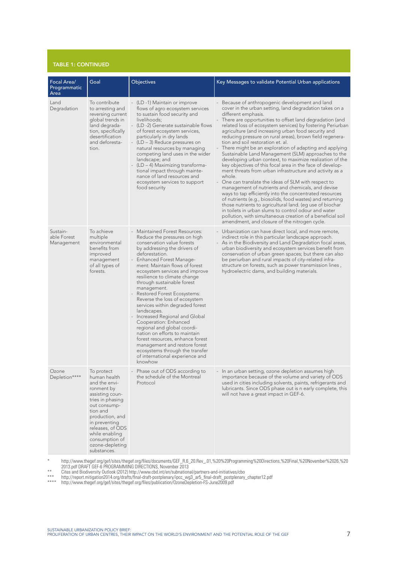#### table 1: continued

| Focal Area/<br>Programmatic<br>Area   | Goal                                                                                                                                                                                                                                                       | Objectives                                                                                                                                                                                                                                                                                                                                                                                                                                                                                                                                                                                                                                                                                                                                   | Key Messages to validate Potential Urban applications                                                                                                                                                                                                                                                                                                                                                                                                                                                                                                                                                                                                                                                                                                                                                                                                                                                                                                                                                                                                                                                                                                                                                      |
|---------------------------------------|------------------------------------------------------------------------------------------------------------------------------------------------------------------------------------------------------------------------------------------------------------|----------------------------------------------------------------------------------------------------------------------------------------------------------------------------------------------------------------------------------------------------------------------------------------------------------------------------------------------------------------------------------------------------------------------------------------------------------------------------------------------------------------------------------------------------------------------------------------------------------------------------------------------------------------------------------------------------------------------------------------------|------------------------------------------------------------------------------------------------------------------------------------------------------------------------------------------------------------------------------------------------------------------------------------------------------------------------------------------------------------------------------------------------------------------------------------------------------------------------------------------------------------------------------------------------------------------------------------------------------------------------------------------------------------------------------------------------------------------------------------------------------------------------------------------------------------------------------------------------------------------------------------------------------------------------------------------------------------------------------------------------------------------------------------------------------------------------------------------------------------------------------------------------------------------------------------------------------------|
| Land<br>Degradation                   | To contribute<br>to arresting and<br>reversing current<br>global trends in<br>land degrada-<br>tion, specifically<br>desertification<br>and deforesta-<br>tion.                                                                                            | - (LD -1) Maintain or improve<br>flows of agro ecosystem services<br>to sustain food security and<br>livelihoods:<br>- (LD -2) Generate sustainable flows<br>of forest ecosystem services,<br>particularly in dry lands<br>$(LD - 3)$ Reduce pressures on<br>natural resources by managing<br>competing land uses in the wider<br>landscape; and<br>- (LD - 4) Maximizing transforma-<br>tional impact through mainte-<br>nance of land resources and<br>ecosystem services to support<br>food security                                                                                                                                                                                                                                      | - Because of anthropogenic development and land<br>cover in the urban setting, land degradation takes on a<br>different emphasis.<br>There are opportunities to offset land degradation (and<br>related loss of ecosystem services) by fostering Periurban<br>agriculture (and increasing urban food security and<br>reducing pressure on rural areas), brown field regenera-<br>tion and soil restoration et. al.<br>There might be an exploration of adapting and applying<br>Sustainable Land Management (SLM) approaches to the<br>developing urban context, to maximize realization of the<br>key objectives of this focal area in the face of develop-<br>ment threats from urban infrastructure and activity as a<br>whole.<br>- One can translate the ideas of SLM with respect to<br>management of nutrients and chemicals, and devise<br>ways to tap efficiently into the concentrated resources<br>of nutrients (e.g., biosolids, food wastes) and returning<br>those nutrients to agricultural land. (eg use of biochar<br>in toilets in urban slums to control odour and water<br>pollution, with simultaneous creation of a beneficial soil<br>amendment, and closure of the nitrogen cycle. |
| Sustain-<br>able Forest<br>Management | To achieve<br>multiple<br>environmental<br>benefits from<br>improved<br>management<br>of all types of<br>forests.                                                                                                                                          | <b>Maintained Forest Resources:</b><br>Reduce the pressures on high<br>conservation value forests<br>by addressing the drivers of<br>deforestation.<br><b>Enhanced Forest Manage-</b><br>ment: Maintain flows of forest<br>ecosystem services and improve<br>resilience to climate change<br>through sustainable forest<br>management.<br>- Restored Forest Ecosystems:<br>Reverse the loss of ecosystem<br>services within degraded forest<br>landscapes.<br>- Increased Regional and Global<br>Cooperation: Enhanced<br>regional and global coordi-<br>nation on efforts to maintain<br>forest resources, enhance forest<br>management and restore forest<br>ecosystems through the transfer<br>of international experience and<br>knowhow | - Urbanization can have direct local, and more remote,<br>indirect role in this particular landscape approach.<br>- As in the Biodiversity and Land Degradation focal areas,<br>urban biodiversity and ecosystem services benefit from<br>conservation of urban green spaces; but there can also<br>be periurban and rural impacts of city-related infra-<br>structure on forests, such as power transmission lines,<br>hydroelectric dams, and building materials.                                                                                                                                                                                                                                                                                                                                                                                                                                                                                                                                                                                                                                                                                                                                        |
| Ozone<br>Depletion****                | To protect<br>human health<br>and the envi-<br>ronment by<br>assisting coun-<br>tries in phasing<br>out consump-<br>tion and<br>production, and<br>in preventing<br>releases, of ODS<br>while enabling<br>consumption of<br>ozone-depleting<br>substances. | - Phase out of ODS according to<br>the schedule of the Montreal<br>Protocol                                                                                                                                                                                                                                                                                                                                                                                                                                                                                                                                                                                                                                                                  | - In an urban setting, ozone depletion assumes high<br>importance because of the volume and variety of ODS<br>used in cities including solvents, paints, refrigerants and<br>lubricants. Since ODS phase out is n early complete, this<br>will not have a great impact in GEF-6.                                                                                                                                                                                                                                                                                                                                                                                                                                                                                                                                                                                                                                                                                                                                                                                                                                                                                                                           |

\* http://www.thegef.org/gef/sites/thegef.org/files/documents/GEF\_R.6\_20.Rev\_.01,%20%20Programming%20Directions,%20Final,%20November%2026,%20 2013.pdf DRAFT GEF-6 PROGRAMMING DIRECTIONS, November 2013

\*\* Cites and Biodiversity Outlook (2012) http://www.cbd.int/en/subnational/partners-and-initiatives/cbo

\*\*\* http://report.mitigation2014.org/drafts/final-draft-postplenary/ipcc\_wg3\_ar5\_final-draft\_postplenary\_chapter12.pdf

\*\*\*\* http://www.thegef.org/gef/sites/thegef.org/files/publication/OzoneDepletion-FS-June2009.pdf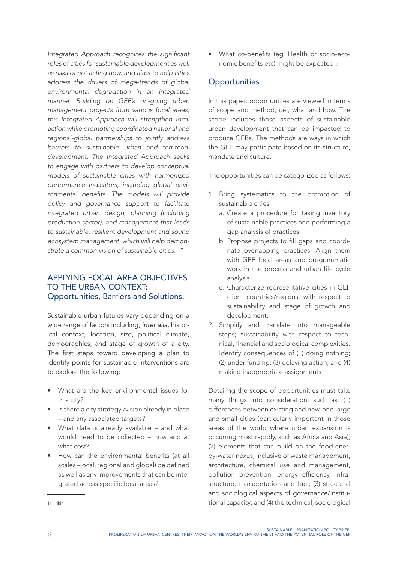Integrated Approach recognizes the significant *roles of cities for sustainable development as well as risks of not acting now, and aims to help cities address the drivers of mega-trends of global environmental degradation in an integrated manner. Building on GEF's on-going urban management projects from various focal areas, this Integrated Approach will strengthen local action while promoting coordinated national and regional-global partnerships to jointly address barriers to sustainable urban and territorial development. The Integrated Approach seeks to engage with partners to develop conceptual models of sustainable cities with harmonized performance indicators, including global envi*ronmental benefits. The models will provide *policy and governance support to facilitate integrated urban design, planning (including production sector), and management that leads to sustainable, resilient development and sound ecosystem management, which will help demonstrate a common vision of sustainable cities.*<sup>11</sup>*"*

#### aPPlYIng foCal area obJeCTIveS To The urban ConTexT: opportunities, barriers and Solutions.

Sustainable urban futures vary depending on a wide range of factors including, *inter alia*, historical context, location, size, political climate, demographics, and stage of growth of a city. The first steps toward developing a plan to identify points for sustainable interventions are to explore the following:

- What are the key environmental issues for this city?
- Is there a city strategy /vision already in place – and any associated targets?
- What data is already available and what would need to be collected – how and at what cost?
- How can the environmental benefits (at all scales –local, regional and global) be defined as well as any improvements that can be integrated across specific focal areas?

• What co-benefits (eg. Health or socio-economic benefits etc) might be expected ?

#### **Opportunities**

In this paper, opportunities are viewed in terms of scope and method, i.e., what and how. The scope includes those aspects of sustainable urban development that can be impacted to produce GEBs. The methods are ways in which the GEF may participate based on its structure, mandate and culture.

The opportunities can be categorized as follows:

- 1. Bring systematics to the promotion of sustainable cities
	- a. Create a procedure for taking inventory of sustainable practices and performing a gap analysis of practices
	- b. Propose projects to fill gaps and coordinate overlapping practices. Align them with GEF focal areas and programmatic work in the process and urban life cycle analysis
	- c. Characterize representative cities in GEF client countries/regions, with respect to sustainability and stage of growth and development.
- 2. Simplify and translate into manageable steps; sustainability with respect to technical, financial and sociological complexities. Identify consequences of (1) doing nothing; (2) under funding; (3) delaying action; and (4) making inappropriate assignments

Detailing the scope of opportunities must take many things into consideration, such as: (1) differences between existing and new, and large and small cities (particularly important in those areas of the world where urban expansion is occurring most rapidly, such as Africa and Asia); (2) elements that can build on the food-energy-water nexus, inclusive of waste management, architecture, chemical use and management, pollution prevention, energy efficiency, infrastructure, transportation and fuel; (3) structural and sociological aspects of governance/institutional capacity; and (4) the technical, sociological

<sup>11</sup> Ibid.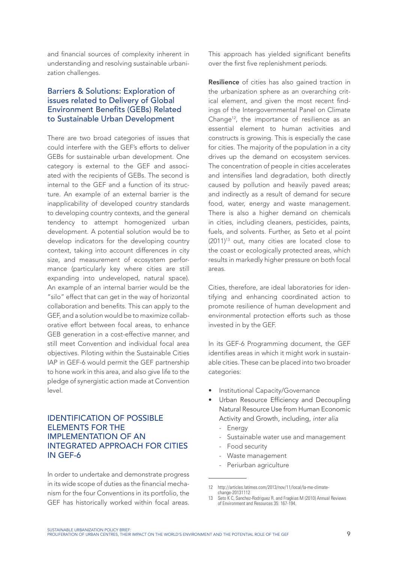and financial sources of complexity inherent in understanding and resolving sustainable urbanization challenges.

#### Barriers & Solutions: Exploration of issues related to Delivery of Global Environment Benefits (GEBs) Related to Sustainable Urban Development

There are two broad categories of issues that could interfere with the GEF's efforts to deliver GEBs for sustainable urban development. One category is external to the GEF and associated with the recipients of GEBs. The second is internal to the GEF and a function of its structure. An example of an external barrier is the inapplicability of developed country standards to developing country contexts, and the general tendency to attempt homogenized urban development. A potential solution would be to develop indicators for the developing country context, taking into account differences in city size, and measurement of ecosystem performance (particularly key where cities are still expanding into undeveloped, natural space). An example of an internal barrier would be the "silo" effect that can get in the way of horizontal collaboration and benefits. This can apply to the GEF, and a solution would be to maximize collaborative effort between focal areas, to enhance GEB generation in a cost-effective manner, and still meet Convention and individual focal area objectives. Piloting within the Sustainable Cities IAP in GEF-6 would permit the GEF partnership to hone work in this area, and also give life to the pledge of synergistic action made at Convention level.

#### IdenTIfICaTIon of PoSSIble eleMenTS for The IMPI FMENTATION OF AN InTegraTed aPProaCh for CITIeS In gef-6

In order to undertake and demonstrate progress in its wide scope of duties as the financial mechanism for the four Conventions in its portfolio, the GEF has historically worked within focal areas.

This approach has yielded significant benefits over the first five replenishment periods.

**Resilience** of cities has also gained traction in the urbanization sphere as an overarching critical element, and given the most recent findings of the Intergovernmental Panel on Climate Change12, the importance of resilience as an essential element to human activities and constructs is growing. This is especially the case for cities. The majority of the population in a city drives up the demand on ecosystem services. The concentration of people in cities accelerates and intensifies land degradation, both directly caused by pollution and heavily paved areas; and indirectly as a result of demand for secure food, water, energy and waste management. There is also a higher demand on chemicals in cities, including cleaners, pesticides, paints, fuels, and solvents. Further, as Seto et al point  $(2011)^{13}$  out, many cities are located close to the coast or ecologically protected areas, which results in markedly higher pressure on both focal areas.

Cities, therefore, are ideal laboratories for identifying and enhancing coordinated action to promote resilience of human development and environmental protection efforts such as those invested in by the GEF.

In its GEF-6 Programming document, the GEF identifies areas in which it might work in sustainable cities. These can be placed into two broader categories:

- Institutional Capacity/Governance
- Urban Resource Efficiency and Decoupling Natural Resource Use from human Economic Activity and Growth, including, *inter alia*
	- **Energy**
	- Sustainable water use and management
	- Food security
	- Waste management
	- Periurban agriculture

<sup>12</sup> http://articles.latimes.com/2013/nov/11/local/la-me-climatechange-20131112

<sup>13</sup> Seto K C, Sanchez-Rodriguez R. and Fragkias M (2010) Annual Reviews of Environment and Resources 35: 167-194.

sustainable urbanization policy brief:<br>proliferation of urban centres, their impact on the world's environment and the potential role of the gef **9** sta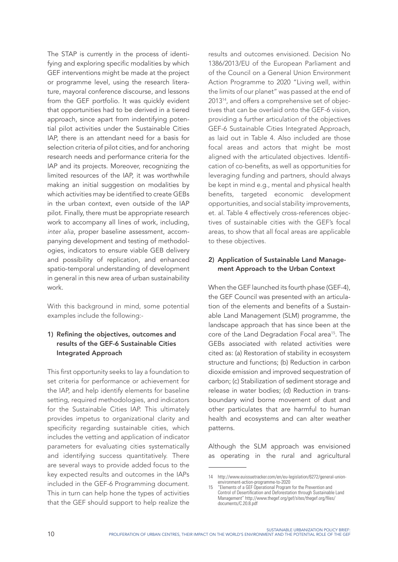The STAP is currently in the process of identifying and exploring specific modalities by which GEF interventions might be made at the project or programme level, using the research literature, mayoral conference discourse, and lessons from the GEF portfolio. It was quickly evident that opportunities had to be derived in a tiered approach, since apart from indentifying potential pilot activities under the Sustainable Cities IAP, there is an attendant need for a basis for selection criteria of pilot cities, and for anchoring research needs and performance criteria for the IAP and its projects. moreover, recognizing the limited resources of the IAP, it was worthwhile making an initial suggestion on modalities by which activities may be identified to create GEBs in the urban context, even outside of the IAP pilot. Finally, there must be appropriate research work to accompany all lines of work, including, *inter alia*, proper baseline assessment, accompanying development and testing of methodologies, indicators to ensure viable GEB delivery and possibility of replication, and enhanced spatio-temporal understanding of development in general in this new area of urban sustainability work.

With this background in mind, some potential examples include the following:-

#### 1) Refining the objectives, outcomes and results of the GEF-6 Sustainable Cities Integrated Approach

This first opportunity seeks to lay a foundation to set criteria for performance or achievement for the IAP, and help identify elements for baseline setting, required methodologies, and indicators for the Sustainable Cities IAP. This ultimately provides impetus to organizational clarity and specificity regarding sustainable cities, which includes the vetting and application of indicator parameters for evaluating cities systematically and identifying success quantitatively. There are several ways to provide added focus to the key expected results and outcomes in the IAPs included in the GEF-6 Programming document. This in turn can help hone the types of activities that the GEF should support to help realize the results and outcomes envisioned. Decision No 1386/2013/EU of the European Parliament and of the Council on a General Union Environment Action Programme to 2020 "Living well, within the limits of our planet" was passed at the end of 201314, and offers a comprehensive set of objectives that can be overlaid onto the GEF-6 vision, providing a further articulation of the objectives GEF-6 Sustainable Cities Integrated Approach, as laid out in Table 4. Also included are those focal areas and actors that might be most aligned with the articulated objectives. Identification of co-benefits, as well as opportunities for leveraging funding and partners, should always be kept in mind e.g., mental and physical health benefits, targeted economic development opportunities, and social stability improvements, et. al. Table 4 effectively cross-references objectives of sustainable cities with the GEF's focal areas, to show that all focal areas are applicable to these objectives.

#### 2) Application of Sustainable Land Management Approach to the Urban Context

when the GEF launched its fourth phase (GEF-4), the GEF Council was presented with an articulation of the elements and benefits of a Sustainable Land Management (SLM) programme, the landscape approach that has since been at the core of the Land Degradation Focal area<sup>15</sup>. The GEBs associated with related activities were cited as: (a) Restoration of stability in ecosystem structure and functions; (b) Reduction in carbon dioxide emission and improved sequestration of carbon; (c) Stabilization of sediment storage and release in water bodies; (d) Reduction in transboundary wind borne movement of dust and other particulates that are harmful to human health and ecosystems and can alter weather patterns.

Although the SLm approach was envisioned as operating in the rural and agricultural

<sup>14</sup> http://www.euissuetracker.com/en/eu-legislation/6272/general-unionenvironment-action-programme-to-2020

<sup>15 &</sup>quot;Elements of a GEF Operational Program for the Prevention and Control of Desertification and Deforestation through Sustainable Land Management" http://www.thegef.org/gef/sites/thegef.org/files/ documents/C.20.8.pdf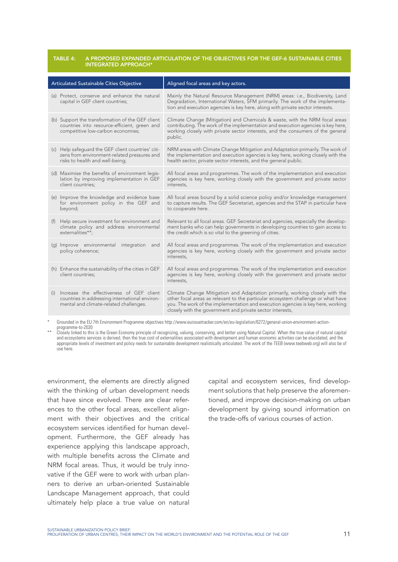#### table 4: a proposed expanded articulation oF the objectives For the geF-6 sustainable cities integrated approach\*

| Articulated Sustainable Cities Objective                                                                                                    | Aligned focal areas and key actors.                                                                                                                                                                                                                                                                              |
|---------------------------------------------------------------------------------------------------------------------------------------------|------------------------------------------------------------------------------------------------------------------------------------------------------------------------------------------------------------------------------------------------------------------------------------------------------------------|
| (a) Protect, conserve and enhance the natural<br>capital in GEF client countries;                                                           | Mainly the Natural Resource Management (NRM) areas: i.e., Biodiversity, Land<br>Degradation, International Waters, SFM primarily. The work of the implementa-<br>tion and execution agencies is key here, along with private sector interests.                                                                   |
| (b) Support the transformation of the GEF client<br>countries into resource-efficient, green and<br>competitive low-carbon economies;       | Climate Change (Mitigation) and Chemicals & waste, with the NRM focal areas<br>contributing. The work of the implementation and execution agencies is key here,<br>working closely with private sector interests, and the consumers of the general<br>public.                                                    |
| (c) Help safequard the GEF client countries' citi-<br>zens from environment-related pressures and<br>risks to health and well-being;        | NRM areas with Climate Change Mitigation and Adaptation primarily. The work of<br>the implementation and execution agencies is key here, working closely with the<br>health sector, private sector interests, and the general public.                                                                            |
| (d) Maximise the benefits of environment legis-<br>lation by improving implementation in GEF<br>client countries;                           | All focal areas and programmes. The work of the implementation and execution<br>agencies is key here, working closely with the government and private sector<br>interests,                                                                                                                                       |
| (e) Improve the knowledge and evidence base<br>for environment policy in the GEF and<br>beyond;                                             | All focal areas bound by a solid science policy and/or knowledge management<br>to capture results. The GEF Secretariat, agencies and the STAP in particular have<br>to cooperate here.                                                                                                                           |
| Help secure investment for environment and<br>(f)<br>climate policy and address environmental<br>externalities**:                           | Relevant to all focal areas. GEF Secretariat and agencies, especially the develop-<br>ment banks who can help governments in developing countries to gain access to<br>the credit which is so vital to the greening of cities.                                                                                   |
| (g) Improve environmental integration and<br>policy coherence;                                                                              | All focal areas and programmes. The work of the implementation and execution<br>agencies is key here, working closely with the government and private sector<br>interests,                                                                                                                                       |
| (h) Enhance the sustainability of the cities in GEF<br>client countries;                                                                    | All focal areas and programmes. The work of the implementation and execution<br>agencies is key here, working closely with the government and private sector<br>interests.                                                                                                                                       |
| Increase the effectiveness of GEF client<br>(i)<br>countries in addressing international environ-<br>mental and climate-related challenges. | Climate Change Mitigation and Adaptation primarily, working closely with the<br>other focal areas as relevant to the particular ecosystem challenge or what have<br>you. The work of the implementation and execution agencies is key here, working<br>closely with the government and private sector interests, |

\* Grounded in the EU 7th Environment Programme objectives http://www.euissuetracker.com/en/eu-legislation/6272/general-union-environment-actionprogramme-to-2020

\*\* Closely linked to this is the Green Economy principle of recognizing, valuing, conserving, and better using Natural Capital. When the true value of natural capital and ecosystems services is derived, then the true cost of externalities associated with development and human economic activities can be elucidated, and the appropriate levels of investment and policy needs for sustainable development realistically articulated. The work of the TEEB (www.teebweb.org) will also be of use here.

environment, the elements are directly aligned with the thinking of urban development needs that have since evolved. There are clear references to the other focal areas, excellent alignment with their objectives and the critical ecosystem services identified for human development. Furthermore, the GEF already has experience applying this landscape approach, with multiple benefits across the Climate and NRm focal areas. Thus, it would be truly innovative if the GEF were to work with urban planners to derive an urban-oriented Sustainable Landscape Management approach, that could ultimately help place a true value on natural

capital and ecosystem services, find development solutions that help preserve the aforementioned, and improve decision-making on urban development by giving sound information on the trade-offs of various courses of action.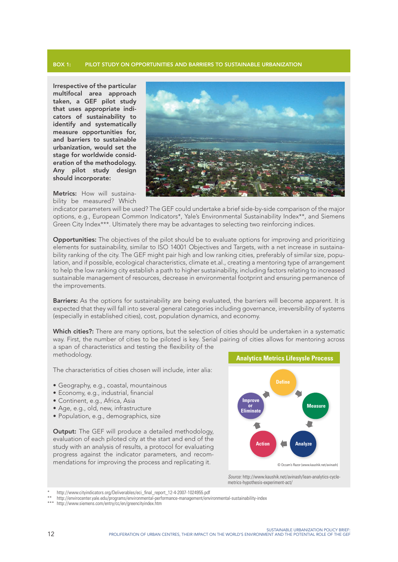#### box 1: pilot study on opportunities and barriers to sustainable urbanization

Irrespective of the particular multifocal area approach taken, a GEF pilot study that uses appropriate indicators of sustainability to identify and systematically measure opportunities for, and barriers to sustainable urbanization, would set the stage for worldwide consideration of the methodology. Any pilot study design should incorporate:

Metrics: How will sustainability be measured? Which



indicator parameters will be used? The GEF could undertake a brief side-by-side comparison of the major options, e.g., European Common Indicators\*, Yale's Environmental Sustainability Index\*\*, and Siemens Green City Index\*\*\*. Ultimately there may be advantages to selecting two reinforcing indices.

**Opportunities:** The objectives of the pilot should be to evaluate options for improving and prioritizing elements for sustainability, similar to ISO 14001 Objectives and Targets, with a net increase in sustainability ranking of the city. The GEF might pair high and low ranking cities, preferably of similar size, population, and if possible, ecological characteristics, climate et.al., creating a mentoring type of arrangement to help the low ranking city establish a path to higher sustainability, including factors relating to increased sustainable management of resources, decrease in environmental footprint and ensuring permanence of the improvements.

Barriers: As the options for sustainability are being evaluated, the barriers will become apparent. It is expected that they will fall into several general categories including governance, irreversibility of systems (especially in established cities), cost, population dynamics, and economy.

Which cities?: There are many options, but the selection of cities should be undertaken in a systematic way. First, the number of cities to be piloted is key. Serial pairing of cities allows for mentoring across a span of characteristics and testing the flexibility of the methodology.

The characteristics of cities chosen will include, inter alia:

- Geography, e.g., coastal, mountainous
- Economy, e.g., industrial, financial
- Continent, e.g., Africa, Asia
- Age, e.g., old, new, infrastructure
- Population, e.g., demographics, size

**Output:** The GEF will produce a detailed methodology, evaluation of each piloted city at the start and end of the study with an analysis of results, a protocol for evaluating progress against the indicator parameters, and recommendations for improving the process and replicating it.



*Source:* http://www.kaushik.net/avinash/lean-analytics-cyclemetrics-hypothesis-experiment-act/

http://www.cityindicators.org/Deliverables/eci\_final\_report\_12-4-2007-1024955.pdf

http://envirocenter.yale.edu/programs/environmental-performance-management/environmental-sustainability-index

<sup>\*\*\*</sup> http://www.siemens.com/entry/cc/en/greencityindex.htm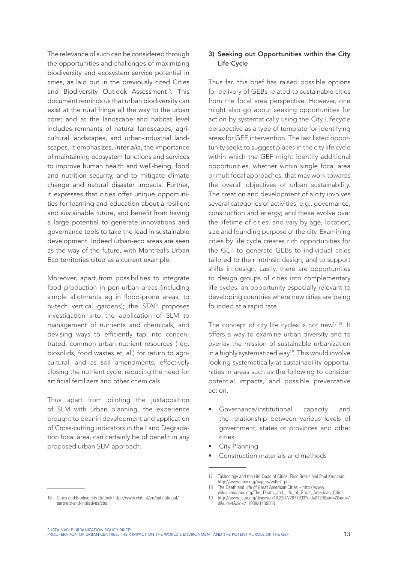The relevance of such can be considered through the opportunities and challenges of maximizing biodiversity and ecosystem service potential in cities, as laid out in the previously cited Cities and Biodiversity Outlook Assessment<sup>16</sup>. This document reminds us that urban biodiversity can exist at the rural fringe all the way to the urban core; and at the landscape and habitat level includes remnants of natural landscapes, agricultural landscapes, and urban-industrial landscapes. It emphasizes, *inter alia*, the importance of maintaining ecosystem functions and services to improve human health and well-being, food and nutrition security, and to mitigate climate change and natural disaster impacts. Further, it expresses that cities offer unique opportunities for learning and education about a resilient and sustainable future, and benefit from having a large potential to generate innovations and governance tools to take the lead in sustainable development. Indeed urban-eco areas are seen as the way of the future, with montreal's Urban Eco territories cited as a current example.

Moreover, apart from possibilities to integrate food production in peri-urban areas (including simple allotments eg in flood-prone areas, to hi-tech vertical gardens); the STAP proposes investigation into the application of SLM to management of nutrients and chemicals, and devising ways to efficiently tap into concentrated, common urban nutrient resources ( eg. biosolids, food wastes et. al.) for return to agricultural land as soil amendments, effectively closing the nutrient cycle, reducing the need for artificial fertilizers and other chemicals.

Thus apart from piloting the juxtaposition of SLM with urban planning, the experience brought to bear in development and application of Cross-cutting indicators in the Land Degradation focal area, can certainly be of benefit in any proposed urban SLM approach.

#### 3) Seeking out Opportunities within the City Life Cycle

Thus far, this brief has raised possible options for delivery of GEBs related to sustainable cities from the focal area perspective. However, one might also go about seeking opportunities for action by systematically using the City Lifecycle perspective as a type of template for identifying areas for GEF intervention. The last listed opportunity seeks to suggest places in the city life cycle within which the GEF might identify additional opportunities, whether within single focal area or multifocal approaches, that may work towards the overall objectives of urban sustainability. The creation and development of a city involves several categories of activities, e.g., governance, construction and energy; and these evolve over the lifetime of cities, and vary by age, location, size and founding purpose of the city. Examining cities by life cycle creates rich opportunities for the GEF to generate GEBs to individual cities tailored to their intrinsic design, and to support shifts in design. Lastly, there are opportunities to design groups of cities into complementary life cycles, an opportunity especially relevant to developing countries where new cities are being founded at a rapid rate.

The concept of city life cycles is not new<sup>17 18</sup>. It offers a way to examine urban diversity and to overlay the mission of sustainable urbanization in a highly systematized way<sup>19</sup>. This would involve looking systematically at sustainability opportunities in areas such as the following to consider potential impacts, and possible preventative action.

- Governance/institutional capacity and the relationship between various levels of government, states or provinces and other cities
- City Planning
- Construction materials and methods

<sup>17</sup> Technology and the Life Cycle of Cities, Elise Brezis and Paul Krugman, http://www.nber.org/papers/w4561.pdf

<sup>18</sup> The Death and Life of Great American Cities – http://www. wikisummaries.org/The\_Death\_and\_Life\_of\_Great\_American\_Cities

<sup>19</sup> http://www.jstor.org/discover/10.2307/2677933?uid=2129&uid=2&uid=7 0&uid=4&sid=21103921135563

<sup>16</sup> Cities and Biodiversity Outlook http://www.cbd.int/en/subnational/ partners-and-initiatives/cbo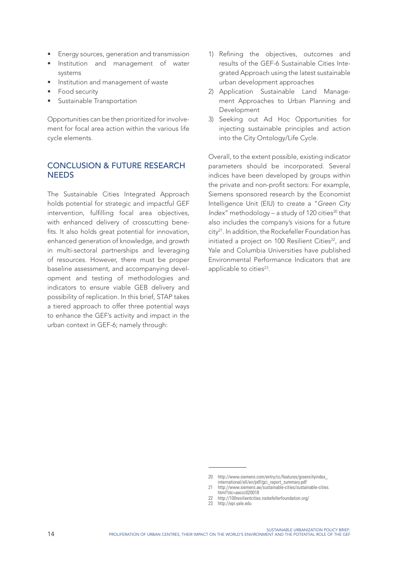- Energy sources, generation and transmission
- Institution and management of water systems
- Institution and management of waste
- Food security
- Sustainable Transportation

Opportunities can be then prioritized for involvement for focal area action within the various life cycle elements.

#### ConCluSIon & fuTure reSearCh **NEEDS**

The Sustainable Cities Integrated Approach holds potential for strategic and impactful GEF intervention, fulfilling focal area objectives, with enhanced delivery of crosscutting benefits. It also holds great potential for innovation, enhanced generation of knowledge, and growth in multi-sectoral partnerships and leveraging of resources. However, there must be proper baseline assessment, and accompanying development and testing of methodologies and indicators to ensure viable GEB delivery and possibility of replication. In this brief, STAP takes a tiered approach to offer three potential ways to enhance the GEF's activity and impact in the urban context in GEF-6; namely through:

- 1) Refining the objectives, outcomes and results of the GEF-6 Sustainable Cities Integrated Approach using the latest sustainable urban development approaches
- 2) Application Sustainable Land Management Approaches to Urban Planning and Development
- 3) Seeking out Ad Hoc Opportunities for injecting sustainable principles and action into the City Ontology/Life Cycle.

Overall, to the extent possible, existing indicator parameters should be incorporated. Several indices have been developed by groups within the private and non-profit sectors: For example, Siemens sponsored research by the Economist Intelligence Unit (EIU) to create a "*Green City Index*" methodology – a study of 120 cities<sup>20</sup> that also includes the company's visions for a future city21. In addition, the Rockefeller Foundation has initiated a project on 100 Resilient Cities<sup>22</sup>, and Yale and Columbia Universities have published Environmental Performance Indicators that are applicable to cities<sup>23</sup>.

<sup>20</sup> http://www.siemens.com/entry/cc/features/greencityindex\_ international/all/en/pdf/gci\_report\_summary.pdf

<sup>21</sup> http://www.siemens.ae/sustainable-cities/sustainable-cities. html?stc=aeccc020018

<sup>22</sup> http://100resilientcities.rockefellerfoundation.org/

<sup>23</sup> http://epi.yale.edu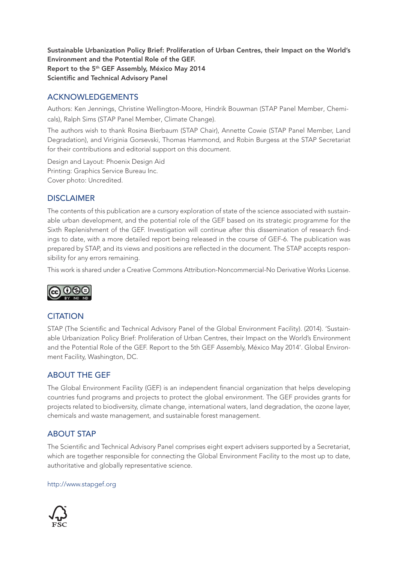Sustainable Urbanization Policy Brief: Proliferation of Urban Centres, their Impact on the World's Environment and the Potential Role of the GEF. Report to the 5th GEF Assembly, México May 2014 Scientific and Technical Advisory Panel

#### **ACKNOWLEDGEMENTS**

Authors: Ken Jennings, Christine Wellington-Moore, Hindrik Bouwman (STAP Panel Member, Chemicals), Ralph Sims (STAP Panel Member, Climate Change).

The authors wish to thank Rosina Bierbaum (STAP Chair), Annette Cowie (STAP Panel Member, Land Degradation), and Viriginia Gorsevski, Thomas Hammond, and Robin Burgess at the STAP Secretariat for their contributions and editorial support on this document.

Design and Layout: Phoenix Design Aid Printing: Graphics Service Bureau Inc. Cover photo: Uncredited.

#### **DISCLAIMER**

The contents of this publication are a cursory exploration of state of the science associated with sustainable urban development, and the potential role of the GEF based on its strategic programme for the Sixth Replenishment of the GEF. Investigation will continue after this dissemination of research findings to date, with a more detailed report being released in the course of GEF-6. The publication was prepared by STAP, and its views and positions are reflected in the document. The STAP accepts responsibility for any errors remaining.

This work is shared under a Creative Commons Attribution-Noncommercial-No Derivative Works License.



#### **CITATION**

STAP (The Scientific and Technical Advisory Panel of the Global Environment Facility). (2014). 'Sustainable Urbanization Policy Brief: Proliferation of Urban Centres, their Impact on the World's Environment and the Potential Role of the GEF. Report to the 5th GEF Assembly, México May 2014'. Global Environment Facility, Washington, DC.

#### abouT The gef

The Global Environment Facility (GEF) is an independent financial organization that helps developing countries fund programs and projects to protect the global environment. The GEF provides grants for projects related to biodiversity, climate change, international waters, land degradation, the ozone layer, chemicals and waste management, and sustainable forest management.

#### abouT STaP

The Scientific and Technical Advisory Panel comprises eight expert advisers supported by a Secretariat, which are together responsible for connecting the Global Environment Facility to the most up to date, authoritative and globally representative science.

#### http://www.stapgef.org